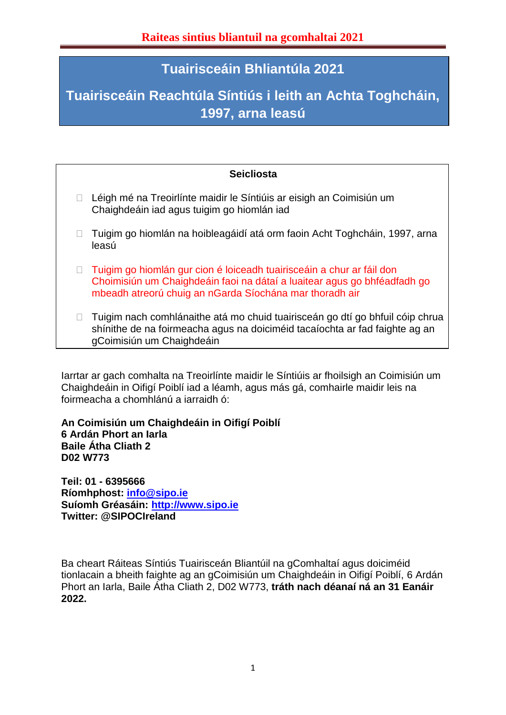# **Tuairisceáin Bhliantúla 2021**

# **Tuairisceáin Reachtúla Síntiús i leith an Achta Toghcháin, 1997, arna leasú**

## **Seicliosta**

- □ Léigh mé na Treoirlínte maidir le Síntiúis ar eisigh an Coimisiún um Chaighdeáin iad agus tuigim go hiomlán iad
- □ Tuigim go hiomlán na hoibleagáidí atá orm faoin Acht Toghcháin, 1997, arna leasú
- □ Tuigim go hiomlán gur cion é loiceadh tuairisceáin a chur ar fáil don Choimisiún um Chaighdeáin faoi na dátaí a luaitear agus go bhféadfadh go mbeadh atreorú chuig an nGarda Síochána mar thoradh air
- $\Box$  Tuigim nach comhlánaithe atá mo chuid tuairisceán go dtí go bhfuil cóip chrua shínithe de na foirmeacha agus na doiciméid tacaíochta ar fad faighte ag an gCoimisiún um Chaighdeáin

Iarrtar ar gach comhalta na Treoirlínte maidir le Síntiúis ar fhoilsigh an Coimisiún um Chaighdeáin in Oifigí Poiblí iad a léamh, agus más gá, comhairle maidir leis na foirmeacha a chomhlánú a iarraidh ó:

**An Coimisiún um Chaighdeáin in Oifigí Poiblí 6 Ardán Phort an Iarla Baile Átha Cliath 2 D02 W773**

**Teil: 01 - 6395666 Ríomhphost: [info@sipo.ie](mailto:info@sipo.ie) Suíomh Gréasáin: [http://www.sipo.ie](http://www.sipo.ie/) Twitter: @SIPOCIreland** 

Ba cheart Ráiteas Síntiús Tuairisceán Bliantúil na gComhaltaí agus doiciméid tionlacain a bheith faighte ag an gCoimisiún um Chaighdeáin in Oifigí Poiblí, 6 Ardán Phort an Iarla, Baile Átha Cliath 2, D02 W773, **tráth nach déanaí ná an 31 Eanáir 2022.**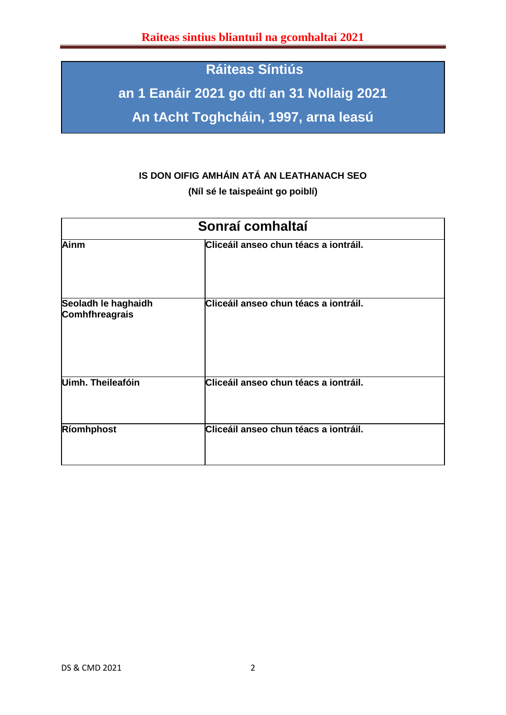# **Ráiteas Síntiús**

**an 1 Eanáir 2021 go dtí an 31 Nollaig 2021**

**An tAcht Toghcháin, 1997, arna leasú**

# **IS DON OIFIG AMHÁIN ATÁ AN LEATHANACH SEO**

**(Níl sé le taispeáint go poiblí)**

| Sonraí comhaltaí                      |                                       |  |  |
|---------------------------------------|---------------------------------------|--|--|
| Ainm                                  | Cliceáil anseo chun téacs a iontráil. |  |  |
| Seoladh le haghaidh<br>Comhfhreagrais | Cliceáil anseo chun téacs a iontráil. |  |  |
| Uimh. Theileafóin                     | Cliceáil anseo chun téacs a iontráil. |  |  |
| Ríomhphost                            | Cliceáil anseo chun téacs a iontráil. |  |  |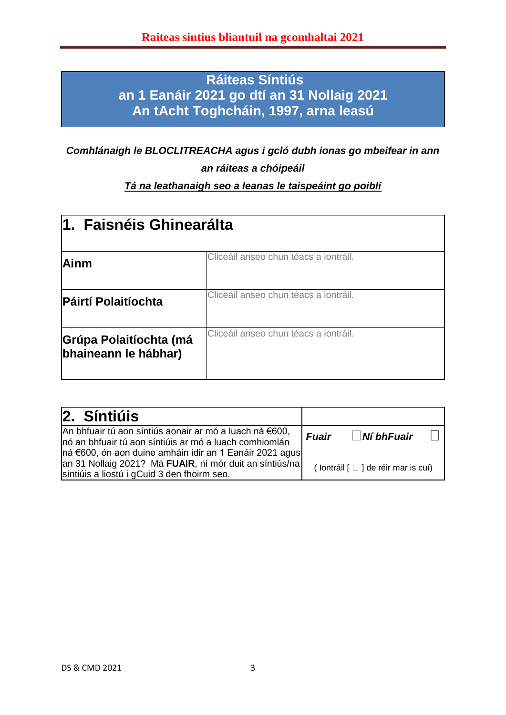# **Ráiteas Síntiús an 1 Eanáir 2021 go dtí an 31 Nollaig 2021 An tAcht Toghcháin, 1997, arna leasú**

*Comhlánaigh le BLOCLITREACHA agus i gcló dubh ionas go mbeifear in ann an ráiteas a chóipeáil*

# *Tá na leathanaigh seo a leanas le taispeáint go poiblí*

| 1. Faisnéis Ghinearálta                        |                                       |  |  |
|------------------------------------------------|---------------------------------------|--|--|
| Ainm                                           | Cliceáil anseo chun téacs a iontráil. |  |  |
| <b>Páirtí Polaitíochta</b>                     | Cliceáil anseo chun téacs a iontráil. |  |  |
| Grúpa Polaitíochta (má<br>bhaineann le hábhar) | Cliceáil anseo chun téacs a iontráil. |  |  |

| 2. Síntiúis                                                                                                                                                                   |              |                                                       |  |
|-------------------------------------------------------------------------------------------------------------------------------------------------------------------------------|--------------|-------------------------------------------------------|--|
| An bhfuair tú aon síntiús aonair ar mó a luach ná €600,<br>nó an bhfuair tú aon síntiúis ar mó a luach comhiomlán<br> ná €600, ón aon duine amháin idir an 1 Eanáir 2021 agus | <b>Fuair</b> | $\blacksquare$ Ní bhFuair                             |  |
| an 31 Nollaig 2021? Má FUAIR, ní mór duit an síntiús/na<br>síntiúis a liostú i gCuid 3 den fhoirm seo.                                                                        |              | (lontráil $\lceil \square \rceil$ de réir mar is cuí) |  |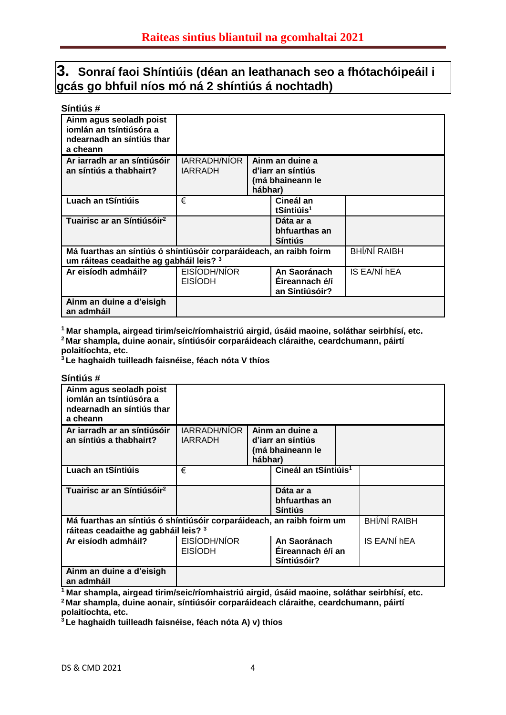# **3. Sonraí faoi Shíntiúis (déan an leathanach seo a fhótachóipeáil i gcás go bhfuil níos mó ná 2 shíntiús á nochtadh)**

| Síntiús#                                                                                                      |                                |                                                                     |              |
|---------------------------------------------------------------------------------------------------------------|--------------------------------|---------------------------------------------------------------------|--------------|
| Ainm agus seoladh poist<br>jomlán an tsíntiúsóra a<br>ndearnadh an síntiús thar<br>a cheann                   |                                |                                                                     |              |
| Ar iarradh ar an síntiúsóir<br>an síntiús a thabhairt?                                                        | IARRADH/NÍOR<br><b>IARRADH</b> | Ainm an duine a<br>d'iarr an síntiús<br>(má bhaineann le<br>hábhar) |              |
| Luach an tSíntiúis                                                                                            | €                              | Cineál an<br>tSíntiúis <sup>1</sup>                                 |              |
| Tuairisc ar an Síntiúsóir <sup>2</sup>                                                                        |                                | Dáta ar a<br>bhfuarthas an<br><b>Síntiús</b>                        |              |
| Má fuarthas an síntiús ó shíntiúsóir corparáideach, an raibh foirm<br>um ráiteas ceadaithe ag gabháil leis? 3 |                                |                                                                     | BHÍ/NÍ RAIBH |
| Ar eisíodh admháil?                                                                                           | EISÍODH/NÍOR<br><b>EISIODH</b> | An Saoránach<br>Éireannach é/í<br>an Síntiúsóir?                    | IS EA/NÍ hEA |
| Ainm an duine a d'eisigh<br>an admháil                                                                        |                                |                                                                     |              |

**<sup>1</sup>Mar shampla, airgead tirim/seic/ríomhaistriú airgid, úsáid maoine, soláthar seirbhísí, etc. <sup>2</sup>Mar shampla, duine aonair, síntiúsóir corparáideach cláraithe, ceardchumann, páirtí polaitíochta, etc.**

**<sup>3</sup>Le haghaidh tuilleadh faisnéise, féach nóta V thíos**

| Síntiús#                                                                                                      |                                |         |                                                          |                     |
|---------------------------------------------------------------------------------------------------------------|--------------------------------|---------|----------------------------------------------------------|---------------------|
| Ainm agus seoladh poist<br>iomlán an tsíntiúsóra a<br>ndearnadh an síntiús thar<br>a cheann                   |                                |         |                                                          |                     |
| Ar iarradh ar an síntiúsóir<br>an síntiús a thabhairt?                                                        | IARRADH/NÍOR<br><b>IARRADH</b> | hábhar) | Ainm an duine a<br>d'iarr an síntiús<br>(má bhaineann le |                     |
| Luach an tSíntiúis                                                                                            | €                              |         | Cineál an tSíntiúis <sup>1</sup>                         |                     |
| Tuairisc ar an Síntiúsóir <sup>2</sup>                                                                        |                                |         | Dáta ar a<br>bhfuarthas an<br><b>Síntiús</b>             |                     |
| Má fuarthas an síntiús ó shíntiúsóir corparáideach, an raibh foirm um<br>ráiteas ceadaithe ag gabháil leis? 3 |                                |         |                                                          | <b>BHÍ/NÍ RAIBH</b> |
| Ar eisíodh admháil?                                                                                           | EISIODH/NIOR<br><b>EISIODH</b> |         | An Saoránach<br>Eireannach é/í an<br>Síntiúsóir?         | IS EA/NI hEA        |
| Ainm an duine a d'eisigh<br>an admháil                                                                        |                                |         |                                                          |                     |

**<sup>1</sup>Mar shampla, airgead tirim/seic/ríomhaistriú airgid, úsáid maoine, soláthar seirbhísí, etc. <sup>2</sup>Mar shampla, duine aonair, síntiúsóir corparáideach cláraithe, ceardchumann, páirtí polaitíochta, etc.**

**3 Le haghaidh tuilleadh faisnéise, féach nóta A) v) thíos**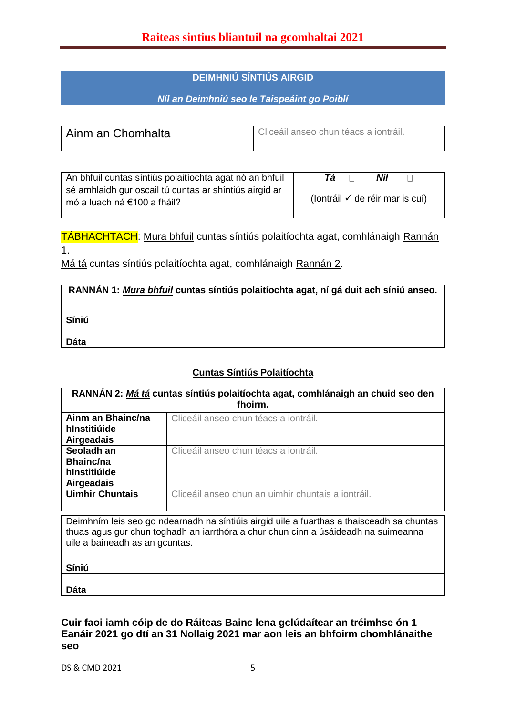### **DEIMHNIÚ SÍNTIÚS AIRGID**

### *Níl an Deimhniú seo le Taispeáint go Poiblí*

| Ainm an Chomhalta | Cliceáil anseo chun téacs a iontráil. |
|-------------------|---------------------------------------|
|                   |                                       |

| An bhfuil cuntas síntiús polaitíochta agat nó an bhfuil                               | Níl<br>Tá.                                 |
|---------------------------------------------------------------------------------------|--------------------------------------------|
| sé amhlaidh gur oscail tú cuntas ar shíntiús airgid ar<br>mó a luach ná €100 a fháil? | (lontráil $\checkmark$ de réir mar is cuí) |

TÁBHACHTACH: Mura bhfuil cuntas síntiús polaitíochta agat, comhlánaigh Rannán 1.

Má tá cuntas síntiús polaitíochta agat, comhlánaigh Rannán 2.

| RANNAN 1: Mura bhfuil cuntas síntiús polaitíochta agat, ní gá duit ach síniú anseo. |  |  |
|-------------------------------------------------------------------------------------|--|--|
| Síniú                                                                               |  |  |
| <b>Dáta</b>                                                                         |  |  |

#### **Cuntas Síntiús Polaitíochta**

| RANNAN 2: Má tá cuntas síntiús polaitíochta agat, comhlánaigh an chuid seo den<br>fhoirm. |                                                    |  |  |
|-------------------------------------------------------------------------------------------|----------------------------------------------------|--|--|
| Ainm an Bhainc/na<br>hInstitiúide<br><b>Airgeadais</b>                                    | Cliceáil anseo chun téacs a iontráil.              |  |  |
| Seoladh an<br><b>Bhainc/na</b><br>hInstitiúide<br><b>Airgeadais</b>                       | Cliceáil anseo chun téacs a iontráil.              |  |  |
| <b>Uimhir Chuntais</b>                                                                    | Cliceáil anseo chun an uimhir chuntais a iontráil. |  |  |
| Deimhním leis seo go ndearnadh na síntiúis airgid uile a fuarthas a thaisceadh sa chuntas |                                                    |  |  |

thuas agus gur chun toghadh an iarrthóra a chur chun cinn a úsáideadh na suimeanna uile a baineadh as an gcuntas.  $\top$ 

| Síniú       |  |
|-------------|--|
| <b>Dáta</b> |  |
|             |  |

### **Cuir faoi iamh cóip de do Ráiteas Bainc lena gclúdaítear an tréimhse ón 1 Eanáir 2021 go dtí an 31 Nollaig 2021 mar aon leis an bhfoirm chomhlánaithe seo**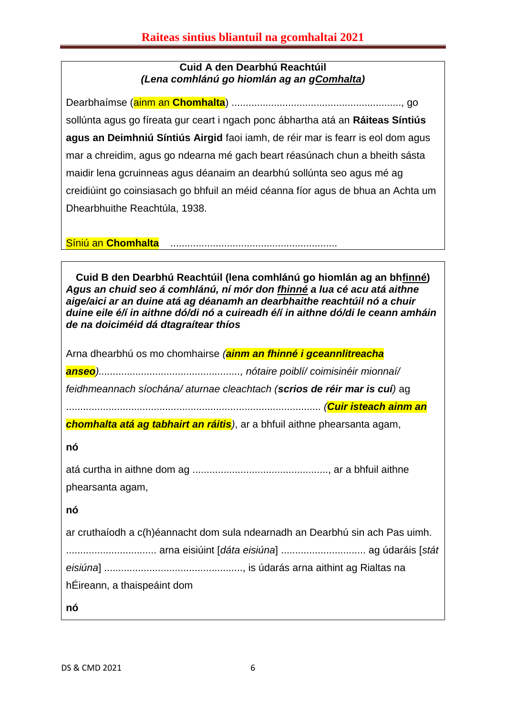## **Cuid A den Dearbhú Reachtúil** *(Lena comhlánú go hiomlán ag an gComhalta)*

Dearbhaímse (ainm an **Chomhalta**) ............................................................, go sollúnta agus go fíreata gur ceart i ngach ponc ábhartha atá an **Ráiteas Síntiús agus an Deimhniú Síntiús Airgid** faoi iamh, de réir mar is fearr is eol dom agus mar a chreidim, agus go ndearna mé gach beart réasúnach chun a bheith sásta maidir lena gcruinneas agus déanaim an dearbhú sollúnta seo agus mé ag creidiúint go coinsiasach go bhfuil an méid céanna fíor agus de bhua an Achta um Dhearbhuithe Reachtúla, 1938.

Síniú an **Chomhalta** ...........................................................

**Cuid B den Dearbhú Reachtúil (lena comhlánú go hiomlán ag an bhfinné)** *Agus an chuid seo á comhlánú, ní mór don fhinné a lua cé acu atá aithne aige/aici ar an duine atá ag déanamh an dearbhaithe reachtúil nó a chuir duine eile é/í in aithne dó/di nó a cuireadh é/í in aithne dó/di le ceann amháin de na doiciméid dá dtagraítear thíos*

Arna dhearbhú os mo chomhairse *(ainm an fhinné i gceannlitreacha anseo).................................................., nótaire poiblí/ coimisinéir mionnaí/ feidhmeannach síochána/ aturnae cleachtach (scrios de réir mar is cuí)* ag .......................................................................................... *(Cuir isteach ainm an* 

*chomhalta atá ag tabhairt an ráitis)*, ar a bhfuil aithne phearsanta agam,

**nó**

| phearsanta agam, |  |
|------------------|--|

**nó**

| ar cruthaíodh a c(h)éannacht dom sula ndearnadh an Dearbhú sin ach Pas uimh. |  |  |  |
|------------------------------------------------------------------------------|--|--|--|
|                                                                              |  |  |  |
|                                                                              |  |  |  |
| hÉireann, a thaispeáint dom                                                  |  |  |  |
| nó                                                                           |  |  |  |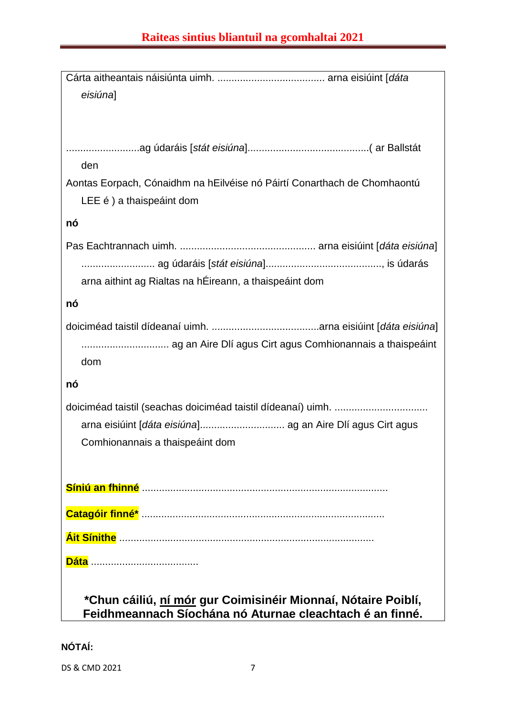| eisiúna]                                                                 |
|--------------------------------------------------------------------------|
|                                                                          |
|                                                                          |
|                                                                          |
| den                                                                      |
| Aontas Eorpach, Cónaidhm na hEilvéise nó Páirtí Conarthach de Chomhaontú |
| LEE é ) a thaispeáint dom                                                |
| nó                                                                       |
|                                                                          |
|                                                                          |
|                                                                          |
| arna aithint ag Rialtas na hÉireann, a thaispeáint dom                   |
| nó                                                                       |
|                                                                          |
| ag an Aire Dlí agus Cirt agus Comhionannais a thaispeáint                |
| dom                                                                      |
| nó                                                                       |
|                                                                          |
|                                                                          |
|                                                                          |
| Comhionannais a thaispeáint dom                                          |
|                                                                          |
|                                                                          |
|                                                                          |
|                                                                          |
|                                                                          |
|                                                                          |
|                                                                          |
| *Chun cáiliú, <u>ní mór</u> gur Coimisinéir Mionnaí, Nótaire Poiblí,     |
| Feidhmeannach Síochána nó Aturnae cleachtach é an finné.                 |

**NÓTAÍ:**

DS & CMD 2021 7